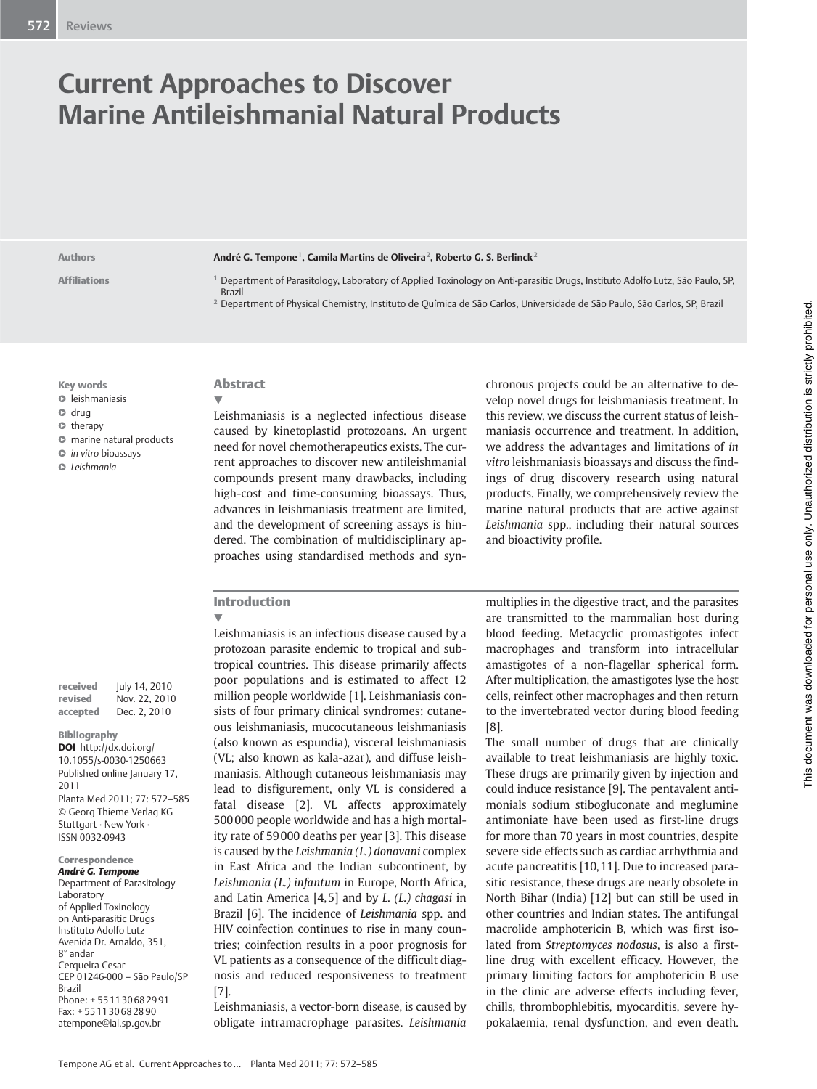# Current Approaches to Discover Marine Antileishmanial Natural Products

#### Authors **André G. Tempone<sup>1</sup>, Camila Martins de Oliveira<sup>2</sup>, Roberto G. S. Berlinck<sup>2</sup>**

- Affiliations <sup>1</sup> Department of Parasitology, Laboratory of Applied Toxinology on Anti-parasitic Drugs, Instituto Adolfo Lutz, São Paulo, SP,
	- <sup>2</sup> Department of Physical Chemistry, Instituto de Química de São Carlos, Universidade de São Paulo, São Carlos, SP, Brazil

Key words

- l " leishmaniasis
- $\bullet$  drug
- $\bullet$  therapy
- $\bullet$  marine natural products
- $\bullet$  in vitro bioassays
- **C** Leishmania

| received | July 14, 2010 |
|----------|---------------|
| revised  | Nov. 22, 2010 |
| accepted | Dec. 2, 2010  |

#### Bibliography

DOI http://dx.doi.org/ 10.1055/s-0030-1250663 Published online January 17, 2011 Planta Med 2011; 77: 572–585 © Georg Thieme Verlag KG Stuttgart · New York · ISSN 0032‑0943

#### Correspondence André G. Tempone

Department of Parasitology Laboratory of Applied Toxinology on Anti-parasitic Drugs Instituto Adolfo Lutz Avenida Dr. Arnaldo, 351, 8° andar Cerqueira Cesar CEP 01246-000 – São Paulo/SP Brazil Phone: + 55 11 30 68 29 91 Fax: + 55 11 30 68 28 90 atempone@ial.sp.gov.br

# Abstract

Brazil

 $\blacktriangledown$ Leishmaniasis is a neglected infectious disease caused by kinetoplastid protozoans. An urgent need for novel chemotherapeutics exists. The current approaches to discover new antileishmanial compounds present many drawbacks, including high-cost and time-consuming bioassays. Thus, advances in leishmaniasis treatment are limited, and the development of screening assays is hindered. The combination of multidisciplinary approaches using standardised methods and syn-

chronous projects could be an alternative to develop novel drugs for leishmaniasis treatment. In this review, we discuss the current status of leishmaniasis occurrence and treatment. In addition, we address the advantages and limitations of in vitro leishmaniasis bioassays and discuss the findings of drug discovery research using natural products. Finally, we comprehensively review the marine natural products that are active against Leishmania spp., including their natural sources and bioactivity profile.

## Introduction

 $\blacktriangledown$ Leishmaniasis is an infectious disease caused by a protozoan parasite endemic to tropical and subtropical countries. This disease primarily affects poor populations and is estimated to affect 12 million people worldwide [1]. Leishmaniasis consists of four primary clinical syndromes: cutaneous leishmaniasis, mucocutaneous leishmaniasis (also known as espundia), visceral leishmaniasis (VL; also known as kala-azar), and diffuse leishmaniasis. Although cutaneous leishmaniasis may lead to disfigurement, only VL is considered a fatal disease [2]. VL affects approximately 500 000 people worldwide and has a high mortality rate of 59 000 deaths per year [3]. This disease is caused by the Leishmania (L.) donovani complex in East Africa and the Indian subcontinent, by Leishmania (L.) infantum in Europe, North Africa, and Latin America  $[4, 5]$  and by *L.* (*L.*) chagasi in Brazil [6]. The incidence of Leishmania spp. and HIV coinfection continues to rise in many countries; coinfection results in a poor prognosis for VL patients as a consequence of the difficult diagnosis and reduced responsiveness to treatment [7].

Leishmaniasis, a vector-born disease, is caused by obligate intramacrophage parasites. Leishmania

multiplies in the digestive tract, and the parasites are transmitted to the mammalian host during blood feeding. Metacyclic promastigotes infect macrophages and transform into intracellular amastigotes of a non-flagellar spherical form. After multiplication, the amastigotes lyse the host cells, reinfect other macrophages and then return to the invertebrated vector during blood feeding [8].

The small number of drugs that are clinically available to treat leishmaniasis are highly toxic. These drugs are primarily given by injection and could induce resistance [9]. The pentavalent antimonials sodium stibogluconate and meglumine antimoniate have been used as first-line drugs for more than 70 years in most countries, despite severe side effects such as cardiac arrhythmia and acute pancreatitis [10, 11]. Due to increased parasitic resistance, these drugs are nearly obsolete in North Bihar (India) [12] but can still be used in other countries and Indian states. The antifungal macrolide amphotericin B, which was first isolated from Streptomyces nodosus, is also a firstline drug with excellent efficacy. However, the primary limiting factors for amphotericin B use in the clinic are adverse effects including fever, chills, thrombophlebitis, myocarditis, severe hypokalaemia, renal dysfunction, and even death.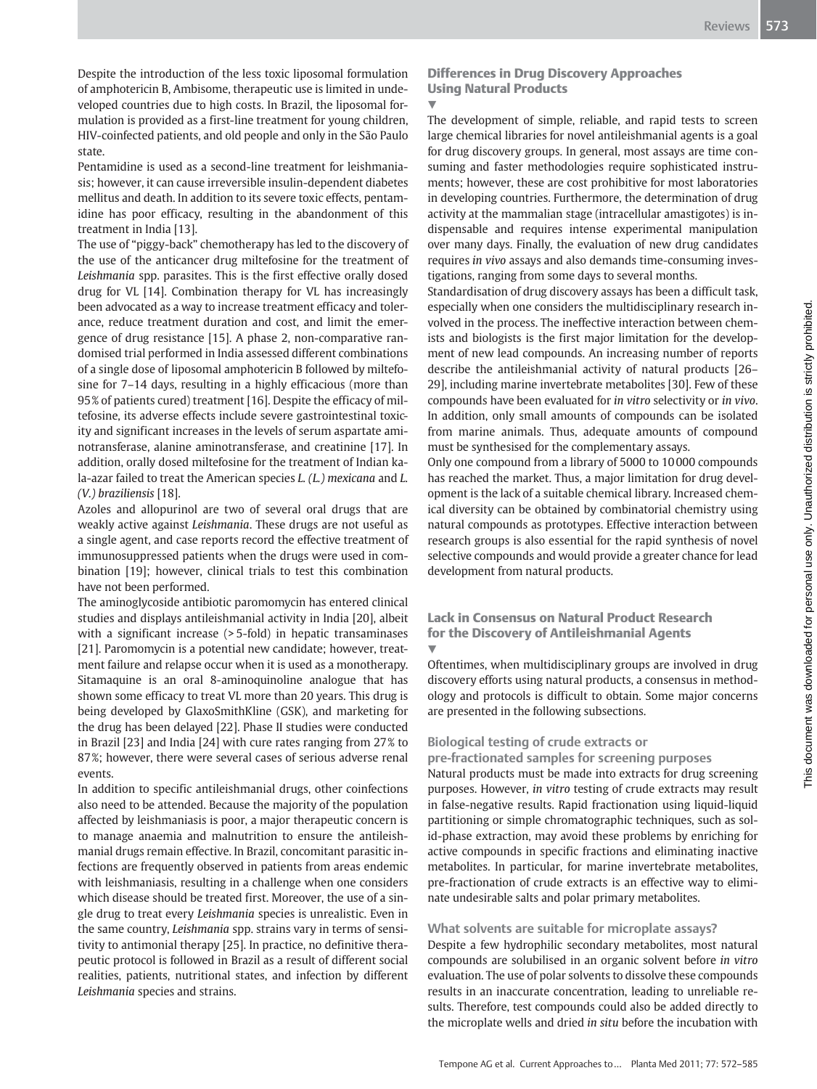Despite the introduction of the less toxic liposomal formulation of amphotericin B, Ambisome, therapeutic use is limited in undeveloped countries due to high costs. In Brazil, the liposomal formulation is provided as a first-line treatment for young children, HIV‑coinfected patients, and old people and only in the São Paulo state.

Pentamidine is used as a second-line treatment for leishmaniasis; however, it can cause irreversible insulin-dependent diabetes mellitus and death. In addition to its severe toxic effects, pentamidine has poor efficacy, resulting in the abandonment of this treatment in India [13].

The use of "piggy-back" chemotherapy has led to the discovery of the use of the anticancer drug miltefosine for the treatment of Leishmania spp. parasites. This is the first effective orally dosed drug for VL [14]. Combination therapy for VL has increasingly been advocated as a way to increase treatment efficacy and tolerance, reduce treatment duration and cost, and limit the emergence of drug resistance [15]. A phase 2, non-comparative randomised trial performed in India assessed different combinations of a single dose of liposomal amphotericin B followed by miltefosine for 7–14 days, resulting in a highly efficacious (more than 95% of patients cured) treatment [16]. Despite the efficacy of miltefosine, its adverse effects include severe gastrointestinal toxicity and significant increases in the levels of serum aspartate aminotransferase, alanine aminotransferase, and creatinine [17]. In addition, orally dosed miltefosine for the treatment of Indian kala-azar failed to treat the American species L. (L.) mexicana and L. (V.) braziliensis [18].

Azoles and allopurinol are two of several oral drugs that are weakly active against Leishmania. These drugs are not useful as a single agent, and case reports record the effective treatment of immunosuppressed patients when the drugs were used in combination [19]; however, clinical trials to test this combination have not been performed.

The aminoglycoside antibiotic paromomycin has entered clinical studies and displays antileishmanial activity in India [20], albeit with a significant increase (> 5-fold) in hepatic transaminases [21]. Paromomycin is a potential new candidate; however, treatment failure and relapse occur when it is used as a monotherapy. Sitamaquine is an oral 8-aminoquinoline analogue that has shown some efficacy to treat VL more than 20 years. This drug is being developed by GlaxoSmithKline (GSK), and marketing for the drug has been delayed [22]. Phase II studies were conducted in Brazil [23] and India [24] with cure rates ranging from 27% to 87%; however, there were several cases of serious adverse renal events.

In addition to specific antileishmanial drugs, other coinfections also need to be attended. Because the majority of the population affected by leishmaniasis is poor, a major therapeutic concern is to manage anaemia and malnutrition to ensure the antileishmanial drugs remain effective. In Brazil, concomitant parasitic infections are frequently observed in patients from areas endemic with leishmaniasis, resulting in a challenge when one considers which disease should be treated first. Moreover, the use of a single drug to treat every Leishmania species is unrealistic. Even in the same country, Leishmania spp. strains vary in terms of sensitivity to antimonial therapy [25]. In practice, no definitive therapeutic protocol is followed in Brazil as a result of different social realities, patients, nutritional states, and infection by different Leishmania species and strains.

# Differences in Drug Discovery Approaches Using Natural Products

## $\blacktriangledown$

The development of simple, reliable, and rapid tests to screen large chemical libraries for novel antileishmanial agents is a goal for drug discovery groups. In general, most assays are time consuming and faster methodologies require sophisticated instruments; however, these are cost prohibitive for most laboratories in developing countries. Furthermore, the determination of drug activity at the mammalian stage (intracellular amastigotes) is indispensable and requires intense experimental manipulation over many days. Finally, the evaluation of new drug candidates requires in vivo assays and also demands time-consuming investigations, ranging from some days to several months.

Standardisation of drug discovery assays has been a difficult task, especially when one considers the multidisciplinary research involved in the process. The ineffective interaction between chemists and biologists is the first major limitation for the development of new lead compounds. An increasing number of reports describe the antileishmanial activity of natural products [26– 29], including marine invertebrate metabolites [30]. Few of these compounds have been evaluated for in vitro selectivity or in vivo. In addition, only small amounts of compounds can be isolated from marine animals. Thus, adequate amounts of compound must be synthesised for the complementary assays.

Only one compound from a library of 5000 to 10 000 compounds has reached the market. Thus, a major limitation for drug development is the lack of a suitable chemical library. Increased chemical diversity can be obtained by combinatorial chemistry using natural compounds as prototypes. Effective interaction between research groups is also essential for the rapid synthesis of novel selective compounds and would provide a greater chance for lead development from natural products.

#### Lack in Consensus on Natural Product Research for the Discovery of Antileishmanial Agents  $\overline{\mathbf{v}}$

Oftentimes, when multidisciplinary groups are involved in drug discovery efforts using natural products, a consensus in methodology and protocols is difficult to obtain. Some major concerns are presented in the following subsections.

# Biological testing of crude extracts or

pre-fractionated samples for screening purposes

Natural products must be made into extracts for drug screening purposes. However, in vitro testing of crude extracts may result in false-negative results. Rapid fractionation using liquid-liquid partitioning or simple chromatographic techniques, such as solid-phase extraction, may avoid these problems by enriching for active compounds in specific fractions and eliminating inactive metabolites. In particular, for marine invertebrate metabolites, pre-fractionation of crude extracts is an effective way to eliminate undesirable salts and polar primary metabolites.

# What solvents are suitable for microplate assays?

Despite a few hydrophilic secondary metabolites, most natural compounds are solubilised in an organic solvent before in vitro evaluation. The use of polar solvents to dissolve these compounds results in an inaccurate concentration, leading to unreliable results. Therefore, test compounds could also be added directly to the microplate wells and dried in situ before the incubation with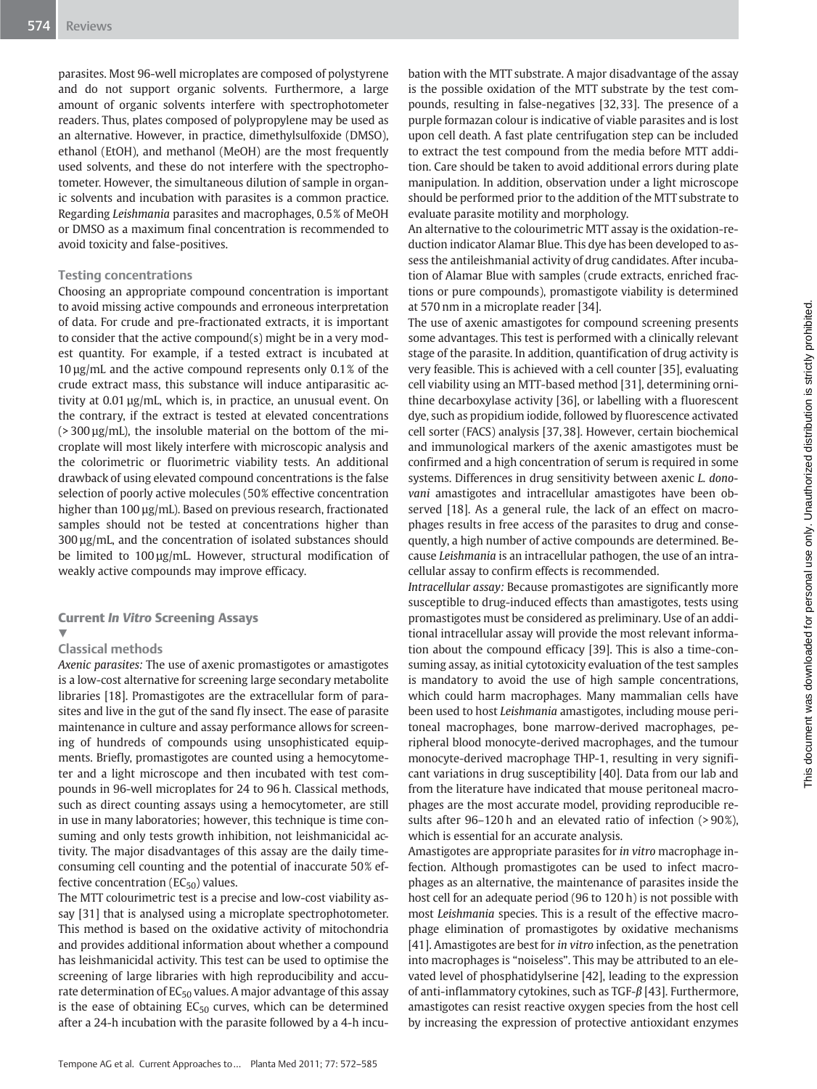parasites. Most 96-well microplates are composed of polystyrene and do not support organic solvents. Furthermore, a large amount of organic solvents interfere with spectrophotometer readers. Thus, plates composed of polypropylene may be used as an alternative. However, in practice, dimethylsulfoxide (DMSO), ethanol (EtOH), and methanol (MeOH) are the most frequently used solvents, and these do not interfere with the spectrophotometer. However, the simultaneous dilution of sample in organic solvents and incubation with parasites is a common practice. Regarding Leishmania parasites and macrophages, 0.5% of MeOH or DMSO as a maximum final concentration is recommended to avoid toxicity and false-positives.

#### Testing concentrations

Choosing an appropriate compound concentration is important to avoid missing active compounds and erroneous interpretation of data. For crude and pre-fractionated extracts, it is important to consider that the active compound(s) might be in a very modest quantity. For example, if a tested extract is incubated at 10 µg/mL and the active compound represents only 0.1% of the crude extract mass, this substance will induce antiparasitic activity at 0.01 µg/mL, which is, in practice, an unusual event. On the contrary, if the extract is tested at elevated concentrations  $(>300 \,\mu g/mL)$ , the insoluble material on the bottom of the microplate will most likely interfere with microscopic analysis and the colorimetric or fluorimetric viability tests. An additional drawback of using elevated compound concentrations is the false selection of poorly active molecules (50% effective concentration higher than 100 µg/mL). Based on previous research, fractionated samples should not be tested at concentrations higher than 300 µg/mL, and the concentration of isolated substances should be limited to 100 µg/mL. However, structural modification of weakly active compounds may improve efficacy.

### Current In Vitro Screening Assays

#### Classical methods

 $\blacktriangledown$ 

Axenic parasites: The use of axenic promastigotes or amastigotes is a low-cost alternative for screening large secondary metabolite libraries [18]. Promastigotes are the extracellular form of parasites and live in the gut of the sand fly insect. The ease of parasite maintenance in culture and assay performance allows for screening of hundreds of compounds using unsophisticated equipments. Briefly, promastigotes are counted using a hemocytometer and a light microscope and then incubated with test compounds in 96-well microplates for 24 to 96 h. Classical methods, such as direct counting assays using a hemocytometer, are still in use in many laboratories; however, this technique is time consuming and only tests growth inhibition, not leishmanicidal activity. The major disadvantages of this assay are the daily timeconsuming cell counting and the potential of inaccurate 50% effective concentration  $(EC_{50})$  values.

The MTT colourimetric test is a precise and low-cost viability assay [31] that is analysed using a microplate spectrophotometer. This method is based on the oxidative activity of mitochondria and provides additional information about whether a compound has leishmanicidal activity. This test can be used to optimise the screening of large libraries with high reproducibility and accurate determination of  $EC_{50}$  values. A major advantage of this assay is the ease of obtaining  $EC_{50}$  curves, which can be determined after a 24-h incubation with the parasite followed by a 4-h incubation with the MTT substrate. A major disadvantage of the assay is the possible oxidation of the MTT substrate by the test compounds, resulting in false-negatives [32, 33]. The presence of a purple formazan colour is indicative of viable parasites and is lost upon cell death. A fast plate centrifugation step can be included to extract the test compound from the media before MTT addition. Care should be taken to avoid additional errors during plate manipulation. In addition, observation under a light microscope should be performed prior to the addition of the MTT substrate to evaluate parasite motility and morphology.

An alternative to the colourimetric MTT assay is the oxidation-reduction indicator Alamar Blue. This dye has been developed to assess the antileishmanial activity of drug candidates. After incubation of Alamar Blue with samples (crude extracts, enriched fractions or pure compounds), promastigote viability is determined at 570 nm in a microplate reader [34].

The use of axenic amastigotes for compound screening presents some advantages. This test is performed with a clinically relevant stage of the parasite. In addition, quantification of drug activity is very feasible. This is achieved with a cell counter [35], evaluating cell viability using an MTT-based method [31], determining ornithine decarboxylase activity [36], or labelling with a fluorescent dye, such as propidium iodide, followed by fluorescence activated cell sorter (FACS) analysis [37, 38]. However, certain biochemical and immunological markers of the axenic amastigotes must be confirmed and a high concentration of serum is required in some systems. Differences in drug sensitivity between axenic L. donovani amastigotes and intracellular amastigotes have been observed [18]. As a general rule, the lack of an effect on macrophages results in free access of the parasites to drug and consequently, a high number of active compounds are determined. Because Leishmania is an intracellular pathogen, the use of an intracellular assay to confirm effects is recommended.

Intracellular assay: Because promastigotes are significantly more susceptible to drug-induced effects than amastigotes, tests using promastigotes must be considered as preliminary. Use of an additional intracellular assay will provide the most relevant information about the compound efficacy [39]. This is also a time-consuming assay, as initial cytotoxicity evaluation of the test samples is mandatory to avoid the use of high sample concentrations, which could harm macrophages. Many mammalian cells have been used to host Leishmania amastigotes, including mouse peritoneal macrophages, bone marrow-derived macrophages, peripheral blood monocyte-derived macrophages, and the tumour monocyte-derived macrophage THP-1, resulting in very significant variations in drug susceptibility [40]. Data from our lab and from the literature have indicated that mouse peritoneal macrophages are the most accurate model, providing reproducible results after 96–120 h and an elevated ratio of infection (> 90%), which is essential for an accurate analysis.

Amastigotes are appropriate parasites for in vitro macrophage infection. Although promastigotes can be used to infect macrophages as an alternative, the maintenance of parasites inside the host cell for an adequate period (96 to 120 h) is not possible with most Leishmania species. This is a result of the effective macrophage elimination of promastigotes by oxidative mechanisms [41]. Amastigotes are best for in vitro infection, as the penetration into macrophages is "noiseless". This may be attributed to an elevated level of phosphatidylserine [42], leading to the expression of anti-inflammatory cytokines, such as TGF-β [43]. Furthermore, amastigotes can resist reactive oxygen species from the host cell by increasing the expression of protective antioxidant enzymes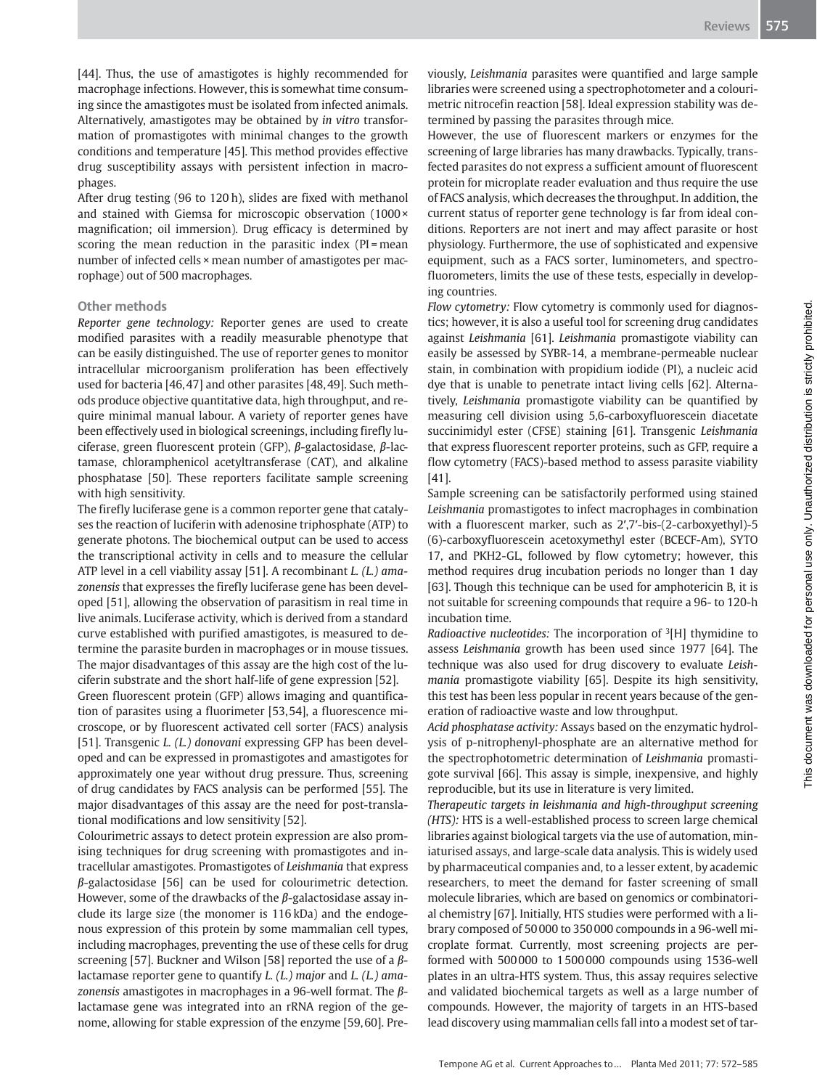[44]. Thus, the use of amastigotes is highly recommended for macrophage infections. However, this is somewhat time consuming since the amastigotes must be isolated from infected animals. Alternatively, amastigotes may be obtained by in vitro transformation of promastigotes with minimal changes to the growth conditions and temperature [45]. This method provides effective drug susceptibility assays with persistent infection in macrophages.

After drug testing (96 to 120 h), slides are fixed with methanol and stained with Giemsa for microscopic observation (1000 × magnification; oil immersion). Drug efficacy is determined by scoring the mean reduction in the parasitic index (PI = mean number of infected cells × mean number of amastigotes per macrophage) out of 500 macrophages.

#### Other methods

Reporter gene technology: Reporter genes are used to create modified parasites with a readily measurable phenotype that can be easily distinguished. The use of reporter genes to monitor intracellular microorganism proliferation has been effectively used for bacteria [46, 47] and other parasites [48, 49]. Such methods produce objective quantitative data, high throughput, and require minimal manual labour. A variety of reporter genes have been effectively used in biological screenings, including firefly luciferase, green fluorescent protein (GFP), β-galactosidase, β-lactamase, chloramphenicol acetyltransferase (CAT), and alkaline phosphatase [50]. These reporters facilitate sample screening with high sensitivity.

The firefly luciferase gene is a common reporter gene that catalyses the reaction of luciferin with adenosine triphosphate (ATP) to generate photons. The biochemical output can be used to access the transcriptional activity in cells and to measure the cellular ATP level in a cell viability assay [51]. A recombinant *L. (L.) ama*zonensis that expresses the firefly luciferase gene has been developed [51], allowing the observation of parasitism in real time in live animals. Luciferase activity, which is derived from a standard curve established with purified amastigotes, is measured to determine the parasite burden in macrophages or in mouse tissues. The major disadvantages of this assay are the high cost of the luciferin substrate and the short half-life of gene expression [52].

Green fluorescent protein (GFP) allows imaging and quantification of parasites using a fluorimeter [53, 54], a fluorescence microscope, or by fluorescent activated cell sorter (FACS) analysis [51]. Transgenic *L. (L.) donovani* expressing GFP has been developed and can be expressed in promastigotes and amastigotes for approximately one year without drug pressure. Thus, screening of drug candidates by FACS analysis can be performed [55]. The major disadvantages of this assay are the need for post-translational modifications and low sensitivity [52].

Colourimetric assays to detect protein expression are also promising techniques for drug screening with promastigotes and intracellular amastigotes. Promastigotes of Leishmania that express β-galactosidase [56] can be used for colourimetric detection. However, some of the drawbacks of the  $\beta$ -galactosidase assay include its large size (the monomer is 116 kDa) and the endogenous expression of this protein by some mammalian cell types, including macrophages, preventing the use of these cells for drug screening [57]. Buckner and Wilson [58] reported the use of a  $\beta$ lactamase reporter gene to quantify L. (L.) major and L. (L.) amazonensis amastigotes in macrophages in a 96-well format. The βlactamase gene was integrated into an rRNA region of the genome, allowing for stable expression of the enzyme [59, 60]. Previously, Leishmania parasites were quantified and large sample libraries were screened using a spectrophotometer and a colourimetric nitrocefin reaction [58]. Ideal expression stability was determined by passing the parasites through mice.

However, the use of fluorescent markers or enzymes for the screening of large libraries has many drawbacks. Typically, transfected parasites do not express a sufficient amount of fluorescent protein for microplate reader evaluation and thus require the use of FACS analysis, which decreases the throughput. In addition, the current status of reporter gene technology is far from ideal conditions. Reporters are not inert and may affect parasite or host physiology. Furthermore, the use of sophisticated and expensive equipment, such as a FACS sorter, luminometers, and spectrofluorometers, limits the use of these tests, especially in developing countries.

Flow cytometry: Flow cytometry is commonly used for diagnostics; however, it is also a useful tool for screening drug candidates against Leishmania [61]. Leishmania promastigote viability can easily be assessed by SYBR-14, a membrane-permeable nuclear stain, in combination with propidium iodide (PI), a nucleic acid dye that is unable to penetrate intact living cells [62]. Alternatively, Leishmania promastigote viability can be quantified by measuring cell division using 5,6-carboxyfluorescein diacetate succinimidyl ester (CFSE) staining [61]. Transgenic Leishmania that express fluorescent reporter proteins, such as GFP, require a flow cytometry (FACS)-based method to assess parasite viability [41].

Sample screening can be satisfactorily performed using stained Leishmania promastigotes to infect macrophages in combination with a fluorescent marker, such as 2′,7′-bis-(2-carboxyethyl)-5 (6)-carboxyfluorescein acetoxymethyl ester (BCECF‑Am), SYTO 17, and PKH2-GL, followed by flow cytometry; however, this method requires drug incubation periods no longer than 1 day [63]. Though this technique can be used for amphotericin B, it is not suitable for screening compounds that require a 96- to 120-h incubation time.

*Radioactive nucleotides:* The incorporation of  ${}^{3}$ [H] thymidine to assess Leishmania growth has been used since 1977 [64]. The technique was also used for drug discovery to evaluate Leishmania promastigote viability [65]. Despite its high sensitivity, this test has been less popular in recent years because of the generation of radioactive waste and low throughput.

Acid phosphatase activity: Assays based on the enzymatic hydrolysis of p-nitrophenyl-phosphate are an alternative method for the spectrophotometric determination of Leishmania promastigote survival [66]. This assay is simple, inexpensive, and highly reproducible, but its use in literature is very limited.

Therapeutic targets in leishmania and high-throughput screening (HTS): HTS is a well-established process to screen large chemical libraries against biological targets via the use of automation, miniaturised assays, and large-scale data analysis. This is widely used by pharmaceutical companies and, to a lesser extent, by academic researchers, to meet the demand for faster screening of small molecule libraries, which are based on genomics or combinatorial chemistry [67]. Initially, HTS studies were performed with a library composed of 50 000 to 350 000 compounds in a 96-well microplate format. Currently, most screening projects are performed with 500 000 to 1 500 000 compounds using 1536-well plates in an ultra-HTS system. Thus, this assay requires selective and validated biochemical targets as well as a large number of compounds. However, the majority of targets in an HTS-based lead discovery using mammalian cells fall into a modest set of tar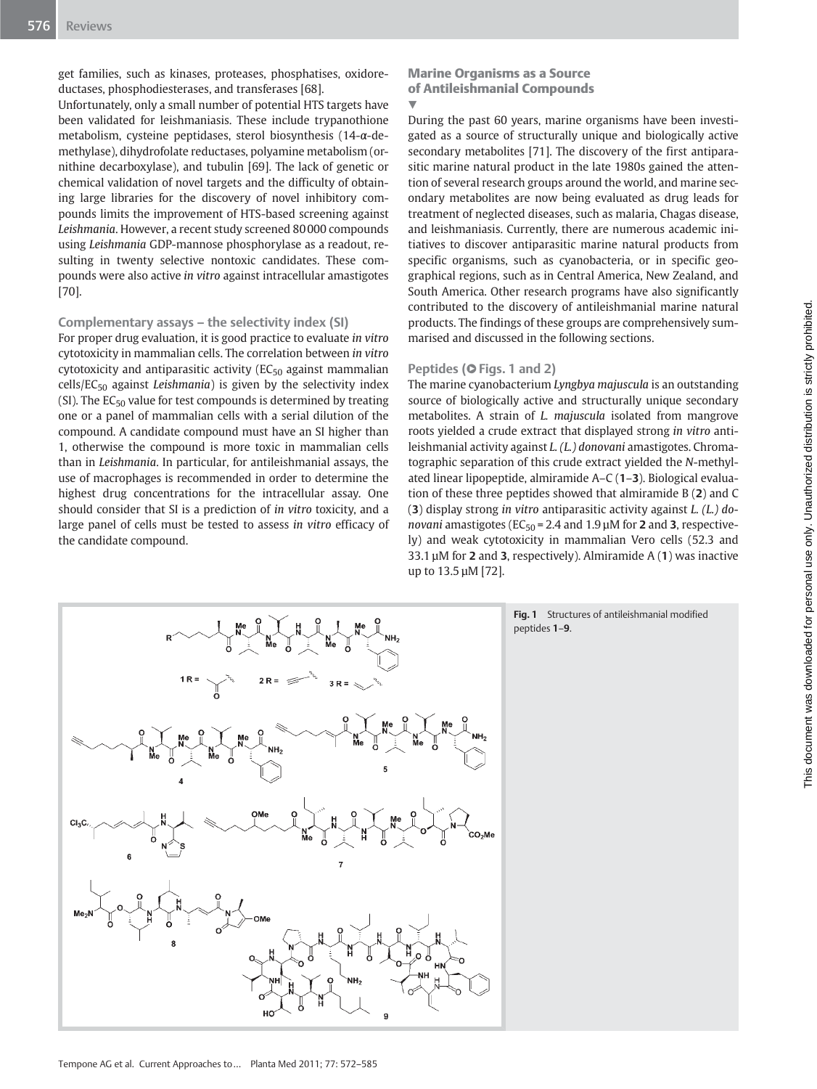get families, such as kinases, proteases, phosphatises, oxidoreductases, phosphodiesterases, and transferases [68].

Unfortunately, only a small number of potential HTS targets have been validated for leishmaniasis. These include trypanothione metabolism, cysteine peptidases, sterol biosynthesis (14-α-demethylase), dihydrofolate reductases, polyamine metabolism (ornithine decarboxylase), and tubulin [69]. The lack of genetic or chemical validation of novel targets and the difficulty of obtaining large libraries for the discovery of novel inhibitory compounds limits the improvement of HTS-based screening against Leishmania. However, a recent study screened 80 000 compounds using Leishmania GDP-mannose phosphorylase as a readout, resulting in twenty selective nontoxic candidates. These compounds were also active in vitro against intracellular amastigotes [70].

### Complementary assays – the selectivity index (SI)

For proper drug evaluation, it is good practice to evaluate in vitro cytotoxicity in mammalian cells. The correlation between in vitro cytotoxicity and antiparasitic activity ( $EC_{50}$  against mammalian cells/EC<sub>50</sub> against Leishmania) is given by the selectivity index (SI). The  $EC_{50}$  value for test compounds is determined by treating one or a panel of mammalian cells with a serial dilution of the compound. A candidate compound must have an SI higher than 1, otherwise the compound is more toxic in mammalian cells than in Leishmania. In particular, for antileishmanial assays, the use of macrophages is recommended in order to determine the highest drug concentrations for the intracellular assay. One should consider that SI is a prediction of in vitro toxicity, and a large panel of cells must be tested to assess in vitro efficacy of the candidate compound.

Marine Organisms as a Source of Antileishmanial Compounds **V** 

During the past 60 years, marine organisms have been investigated as a source of structurally unique and biologically active secondary metabolites [71]. The discovery of the first antiparasitic marine natural product in the late 1980s gained the attention of several research groups around the world, and marine secondary metabolites are now being evaluated as drug leads for treatment of neglected diseases, such as malaria, Chagas disease, and leishmaniasis. Currently, there are numerous academic initiatives to discover antiparasitic marine natural products from specific organisms, such as cyanobacteria, or in specific geographical regions, such as in Central America, New Zealand, and South America. Other research programs have also significantly contributed to the discovery of antileishmanial marine natural products. The findings of these groups are comprehensively summarised and discussed in the following sections.

#### Peptides (O Figs. 1 and 2)

The marine cyanobacterium Lyngbya majuscula is an outstanding source of biologically active and structurally unique secondary metabolites. A strain of L. majuscula isolated from mangrove roots yielded a crude extract that displayed strong in vitro antileishmanial activity against L. (L.) donovani amastigotes. Chromatographic separation of this crude extract yielded the N-methylated linear lipopeptide, almiramide A–C (1–3). Biological evaluation of these three peptides showed that almiramide B (2) and C (3) display strong in vitro antiparasitic activity against L. (L.) donovani amastigotes (EC $_{50}$  = 2.4 and 1.9  $\mu$ M for 2 and 3, respectively) and weak cytotoxicity in mammalian Vero cells (52.3 and 33.1  $\mu$ M for 2 and 3, respectively). Almiramide A (1) was inactive up to 13.5 µM [72].



Fig. 1 Structures of antileishmanial modified peptides 1–9.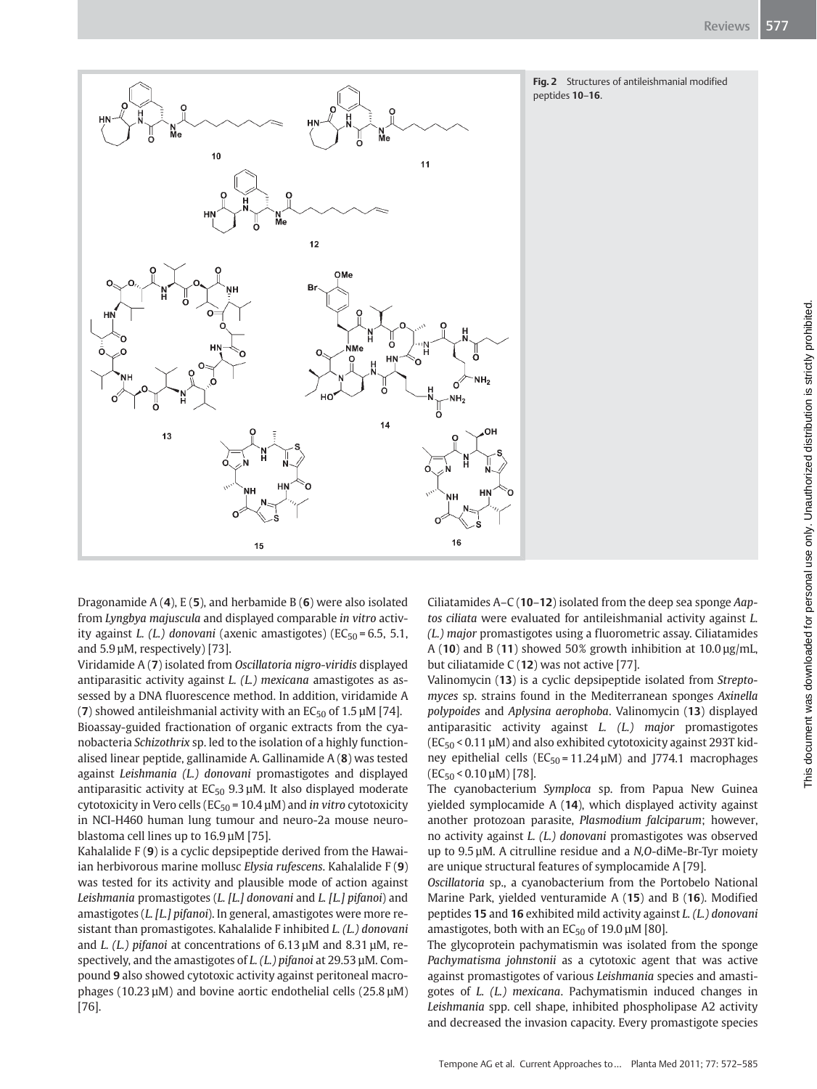



Dragonamide  $A(4)$ , E(5), and herbamide B(6) were also isolated from Lyngbya majuscula and displayed comparable in vitro activity against *L.* (*L.*) donovani (axenic amastigotes) (EC<sub>50</sub> = 6.5, 5.1, and 5.9 µM, respectively) [73].

Viridamide A (7) isolated from Oscillatoria nigro-viridis displayed antiparasitic activity against L. (L.) mexicana amastigotes as assessed by a DNA fluorescence method. In addition, viridamide A (7) showed antileishmanial activity with an  $EC_{50}$  of 1.5  $\mu$ M [74]. Bioassay-guided fractionation of organic extracts from the cyanobacteria Schizothrix sp. led to the isolation of a highly functionalised linear peptide, gallinamide A. Gallinamide A (8) was tested against Leishmania (L.) donovani promastigotes and displayed antiparasitic activity at  $EC_{50}$  9.3  $\mu$ M. It also displayed moderate cytotoxicity in Vero cells ( $EC_{50}$  = 10.4  $\mu$ M) and *in vitro* cytotoxicity in NCI-H460 human lung tumour and neuro-2a mouse neuroblastoma cell lines up to 16.9 µM [75].

Kahalalide F (9) is a cyclic depsipeptide derived from the Hawaiian herbivorous marine mollusc Elysia rufescens. Kahalalide F (9) was tested for its activity and plausible mode of action against Leishmania promastigotes (L. [L.] donovani and L. [L.] pifanoi) and amastigotes (L. [L.] pifanoi). In general, amastigotes were more resistant than promastigotes. Kahalalide F inhibited L. (L.) donovani and *L.* (*L.*) pifanoi at concentrations of 6.13 µM and 8.31 µM, respectively, and the amastigotes of  $L$ . (L.) pifanoi at 29.53  $\mu$ M. Compound 9 also showed cytotoxic activity against peritoneal macrophages (10.23 µM) and bovine aortic endothelial cells (25.8 µM) [76].

Ciliatamides A–C (10–12) isolated from the deep sea sponge Aaptos ciliata were evaluated for antileishmanial activity against L. (L.) major promastigotes using a fluorometric assay. Ciliatamides A (10) and B (11) showed 50% growth inhibition at  $10.0 \,\mu$ g/mL, but ciliatamide C (12) was not active [77].

Valinomycin (13) is a cyclic depsipeptide isolated from Streptomyces sp. strains found in the Mediterranean sponges Axinella polypoides and Aplysina aerophoba. Valinomycin (13) displayed antiparasitic activity against L. (L.) major promastigotes  $(EC_{50}$  < 0.11  $\mu$ M) and also exhibited cytotoxicity against 293T kidney epithelial cells ( $EC_{50} = 11.24 \mu M$ ) and J774.1 macrophages  $(EC_{50} < 0.10 \,\mu\text{M})$  [78].

The cyanobacterium Symploca sp. from Papua New Guinea yielded symplocamide A (14), which displayed activity against another protozoan parasite, Plasmodium falciparum; however, no activity against L. (L.) donovani promastigotes was observed up to 9.5 µM. A citrulline residue and a N,O-diMe-Br-Tyr moiety are unique structural features of symplocamide A [79].

Oscillatoria sp., a cyanobacterium from the Portobelo National Marine Park, yielded venturamide A (15) and B (16). Modified peptides 15 and 16 exhibited mild activity against L. (L.) donovani amastigotes, both with an  $EC_{50}$  of 19.0  $\mu$ M [80].

The glycoprotein pachymatismin was isolated from the sponge Pachymatisma johnstonii as a cytotoxic agent that was active against promastigotes of various Leishmania species and amastigotes of L. (L.) mexicana. Pachymatismin induced changes in Leishmania spp. cell shape, inhibited phospholipase A2 activity and decreased the invasion capacity. Every promastigote species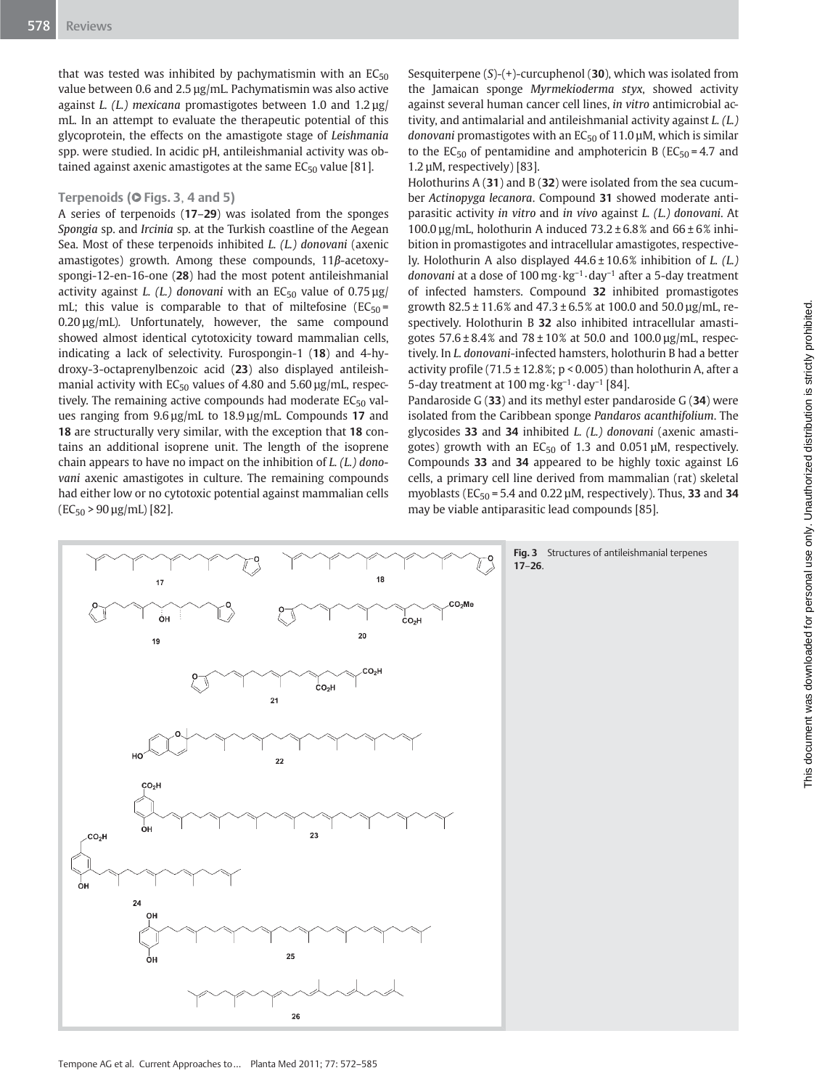that was tested was inhibited by pachymatismin with an  $EC_{50}$ value between 0.6 and 2.5 µg/mL. Pachymatismin was also active against *L.* (*L.*) mexicana promastigotes between 1.0 and  $1.2 \mu$ g/ mL. In an attempt to evaluate the therapeutic potential of this glycoprotein, the effects on the amastigote stage of Leishmania spp. were studied. In acidic pH, antileishmanial activity was obtained against axenic amastigotes at the same  $EC_{50}$  value [81].

#### Terpenoids (**O** Figs. 3, 4 and 5)

A series of terpenoids (17–29) was isolated from the sponges Spongia sp. and Ircinia sp. at the Turkish coastline of the Aegean Sea. Most of these terpenoids inhibited L. (L.) donovani (axenic amastigotes) growth. Among these compounds, 11β-acetoxyspongi-12-en-16-one (28) had the most potent antileishmanial activity against L. (L.) donovani with an  $EC_{50}$  value of 0.75  $\mu$ g/ mL; this value is comparable to that of miltefosine  $(EC_{50} =$ 0.20 µg/mL). Unfortunately, however, the same compound showed almost identical cytotoxicity toward mammalian cells, indicating a lack of selectivity. Furospongin-1 (18) and 4-hydroxy-3-octaprenylbenzoic acid (23) also displayed antileishmanial activity with  $EC_{50}$  values of 4.80 and 5.60  $\mu$ g/mL, respectively. The remaining active compounds had moderate  $EC_{50}$  values ranging from 9.6 µg/mL to 18.9 µg/mL. Compounds 17 and 18 are structurally very similar, with the exception that 18 contains an additional isoprene unit. The length of the isoprene chain appears to have no impact on the inhibition of L. (L.) donovani axenic amastigotes in culture. The remaining compounds had either low or no cytotoxic potential against mammalian cells  $(EC_{50} > 90 \,\text{µg/mL})$  [82].

Sesquiterpene  $(S)-(+)$ -curcuphenol (30), which was isolated from the Jamaican sponge Myrmekioderma styx, showed activity against several human cancer cell lines, in vitro antimicrobial activity, and antimalarial and antileishmanial activity against L. (L.) donovani promastigotes with an  $EC_{50}$  of 11.0  $\mu$ M, which is similar to the EC<sub>50</sub> of pentamidine and amphotericin B (EC<sub>50</sub> = 4.7 and 1.2 µM, respectively) [83].

Holothurins  $A(31)$  and  $B(32)$  were isolated from the sea cucumber Actinopyga lecanora. Compound 31 showed moderate antiparasitic activity in vitro and in vivo against L. (L.) donovani. At 100.0  $\mu$ g/mL, holothurin A induced 73.2 ± 6.8% and 66 ± 6% inhibition in promastigotes and intracellular amastigotes, respectively. Holothurin A also displayed 44.6 ± 10.6% inhibition of L. (L.) donovani at a dose of 100 mg · kg<sup>−</sup><sup>1</sup> · day<sup>−</sup><sup>1</sup> after a 5-day treatment of infected hamsters. Compound 32 inhibited promastigotes growth 82.5 ± 11.6% and 47.3 ± 6.5% at 100.0 and 50.0 µg/mL, respectively. Holothurin B 32 also inhibited intracellular amastigotes  $57.6 \pm 8.4\%$  and  $78 \pm 10\%$  at 50.0 and 100.0 µg/mL, respectively. In L. donovani-infected hamsters, holothurin B had a better activity profile (71.5  $\pm$  12.8%; p < 0.005) than holothurin A, after a 5-day treatment at 100 mg · kg<sup>−</sup><sup>1</sup> · day<sup>−</sup><sup>1</sup> [84].

Pandaroside G (33) and its methyl ester pandaroside G (34) were isolated from the Caribbean sponge Pandaros acanthifolium. The glycosides 33 and 34 inhibited L. (L.) donovani (axenic amastigotes) growth with an  $EC_{50}$  of 1.3 and 0.051 µM, respectively. Compounds 33 and 34 appeared to be highly toxic against L6 cells, a primary cell line derived from mammalian (rat) skeletal myoblasts ( $EC_{50}$  = 5.4 and 0.22  $\mu$ M, respectively). Thus, 33 and 34 may be viable antiparasitic lead compounds [85].

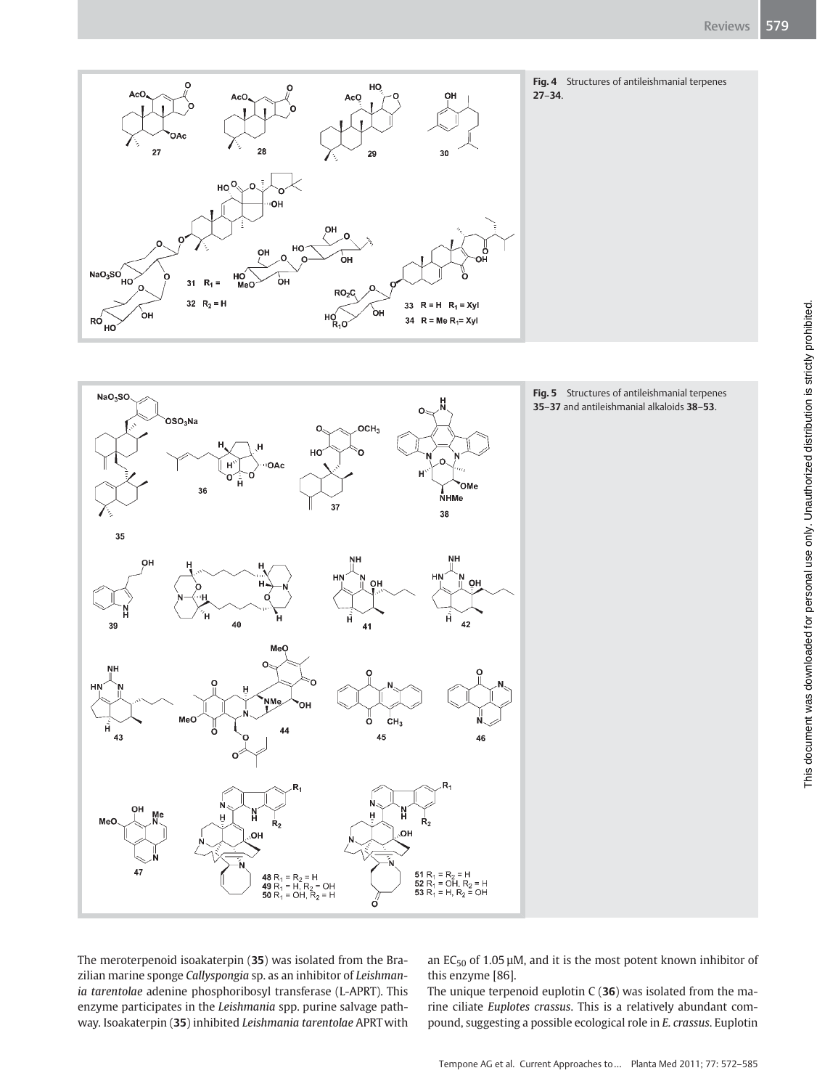





Fig. 5 Structures of antileishmanial terpenes 35–37 and antileishmanial alkaloids 38–53.

The meroterpenoid isoakaterpin (35) was isolated from the Brazilian marine sponge Callyspongia sp. as an inhibitor of Leishmania tarentolae adenine phosphoribosyl transferase (L-APRT). This enzyme participates in the Leishmania spp. purine salvage pathway. Isoakaterpin (35) inhibited Leishmania tarentolae APRT with

an  $EC_{50}$  of 1.05 µM, and it is the most potent known inhibitor of this enzyme [86].

The unique terpenoid euplotin  $C(36)$  was isolated from the marine ciliate Euplotes crassus. This is a relatively abundant compound, suggesting a possible ecological role in E. crassus. Euplotin This document was downloaded for personal use only. Unauthorized distribution is strictly prohibited.

This document was downloaded for personal use only. Unauthorized distribution is strictly prohibited.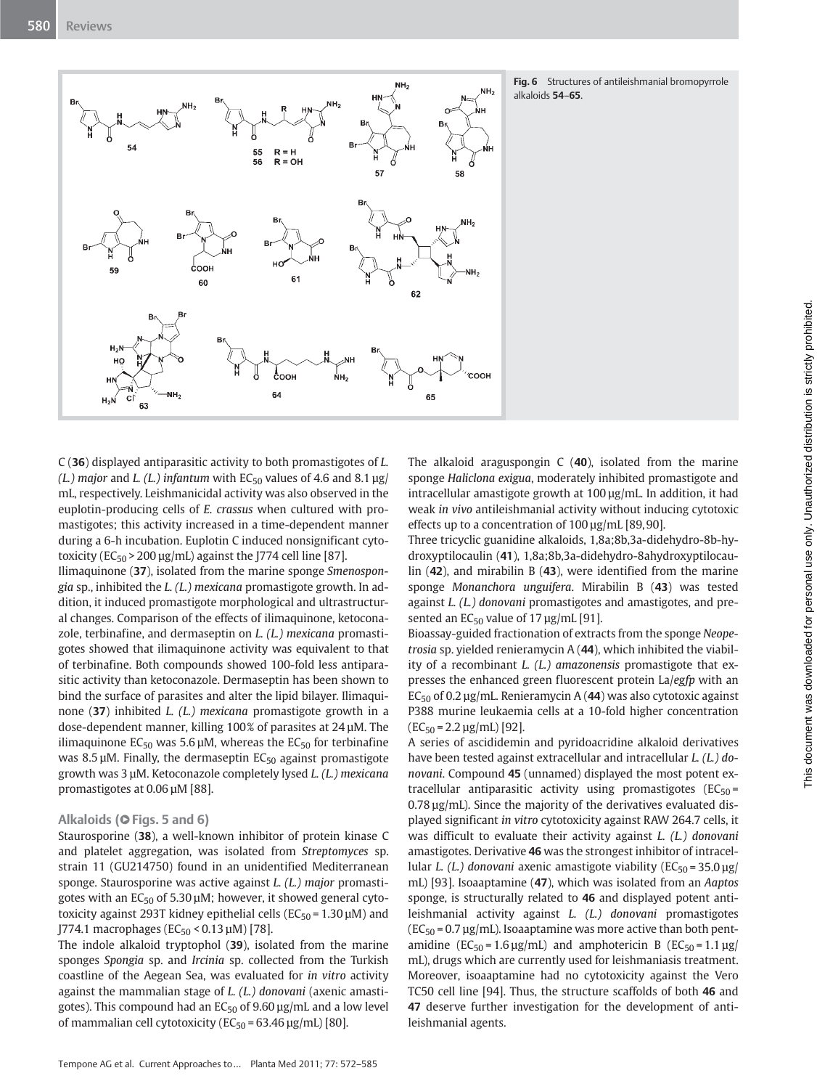

Fig. 6 Structures of antileishmanial bromopyrrole alkaloids 54–65.

C (36) displayed antiparasitic activity to both promastigotes of L. (L.) major and L. (L.) infantum with  $EC_{50}$  values of 4.6 and 8.1  $\mu$ g/ mL, respectively. Leishmanicidal activity was also observed in the euplotin-producing cells of E. crassus when cultured with promastigotes; this activity increased in a time-dependent manner during a 6-h incubation. Euplotin C induced nonsignificant cytotoxicity ( $EC_{50}$  > 200  $\mu$ g/mL) against the J774 cell line [87].

Ilimaquinone (37), isolated from the marine sponge Smenospongia sp., inhibited the L. (L.) mexicana promastigote growth. In addition, it induced promastigote morphological and ultrastructural changes. Comparison of the effects of ilimaquinone, ketoconazole, terbinafine, and dermaseptin on L. (L.) mexicana promastigotes showed that ilimaquinone activity was equivalent to that of terbinafine. Both compounds showed 100-fold less antiparasitic activity than ketoconazole. Dermaseptin has been shown to bind the surface of parasites and alter the lipid bilayer. Ilimaquinone (37) inhibited L. (L.) mexicana promastigote growth in a dose-dependent manner, killing 100% of parasites at 24 µM. The ilimaquinone EC<sub>50</sub> was 5.6  $\mu$ M, whereas the EC<sub>50</sub> for terbinafine was 8.5  $\mu$ M. Finally, the dermaseptin EC<sub>50</sub> against promastigote growth was 3 µM. Ketoconazole completely lysed L. (L.) mexicana promastigotes at 0.06 µM [88].

#### Alkaloids (O Figs. 5 and 6)

Staurosporine (38), a well-known inhibitor of protein kinase C and platelet aggregation, was isolated from Streptomyces sp. strain 11 (GU214750) found in an unidentified Mediterranean sponge. Staurosporine was active against L. (L.) major promastigotes with an  $EC_{50}$  of 5.30  $\mu$ M; however, it showed general cytotoxicity against 293T kidney epithelial cells ( $EC_{50}$  = 1.30  $\mu$ M) and  $[774.1 \text{ macrophages} (EC_{50} < 0.13 \,\mu\text{M}) [78]$ .

The indole alkaloid tryptophol (39), isolated from the marine sponges Spongia sp. and Ircinia sp. collected from the Turkish coastline of the Aegean Sea, was evaluated for in vitro activity against the mammalian stage of L. (L.) donovani (axenic amastigotes). This compound had an  $EC_{50}$  of 9.60  $\mu$ g/mL and a low level of mammalian cell cytotoxicity ( $EC_{50}$  = 63.46  $\mu$ g/mL) [80].

The alkaloid araguspongin  $C$  (40), isolated from the marine sponge Haliclona exigua, moderately inhibited promastigote and intracellular amastigote growth at 100 µg/mL. In addition, it had weak in vivo antileishmanial activity without inducing cytotoxic effects up to a concentration of 100 µg/mL [89, 90].

Three tricyclic guanidine alkaloids, 1,8a;8b,3a-didehydro-8b-hydroxyptilocaulin (41), 1,8a;8b,3a-didehydro-8ahydroxyptilocaulin (42), and mirabilin B (43), were identified from the marine sponge Monanchora unguifera. Mirabilin B (43) was tested against L. (L.) donovani promastigotes and amastigotes, and presented an  $EC_{50}$  value of 17  $\mu$ g/mL [91].

Bioassay-guided fractionation of extracts from the sponge Neopetrosia sp. yielded renieramycin A (44), which inhibited the viability of a recombinant L. (L.) amazonensis promastigote that expresses the enhanced green fluorescent protein La/egfp with an  $EC_{50}$  of 0.2 µg/mL. Renieramycin A (44) was also cytotoxic against P388 murine leukaemia cells at a 10-fold higher concentration  $(EC_{50} = 2.2 \,\mu g/mL)$  [92].

A series of ascididemin and pyridoacridine alkaloid derivatives have been tested against extracellular and intracellular L. (L.) donovani. Compound 45 (unnamed) displayed the most potent extracellular antiparasitic activity using promastigotes  $(EC_{50} =$  $0.78 \mu g/mL$ ). Since the majority of the derivatives evaluated displayed significant in vitro cytotoxicity against RAW 264.7 cells, it was difficult to evaluate their activity against L. (L.) donovani amastigotes. Derivative 46 was the strongest inhibitor of intracellular *L*. (*L.*) donovani axenic amastigote viability ( $EC_{50} = 35.0 \text{ kg/s}$ mL) [93]. Isoaaptamine (47), which was isolated from an Aaptos sponge, is structurally related to 46 and displayed potent antileishmanial activity against L. (L.) donovani promastigotes  $(EC_{50} = 0.7 \,\mu g/mL)$ . Isoaaptamine was more active than both pentamidine ( $EC_{50} = 1.6 \,\mu g/mL$ ) and amphotericin B ( $EC_{50} = 1.1 \,\mu g$ / mL), drugs which are currently used for leishmaniasis treatment. Moreover, isoaaptamine had no cytotoxicity against the Vero TC50 cell line [94]. Thus, the structure scaffolds of both 46 and 47 deserve further investigation for the development of antileishmanial agents.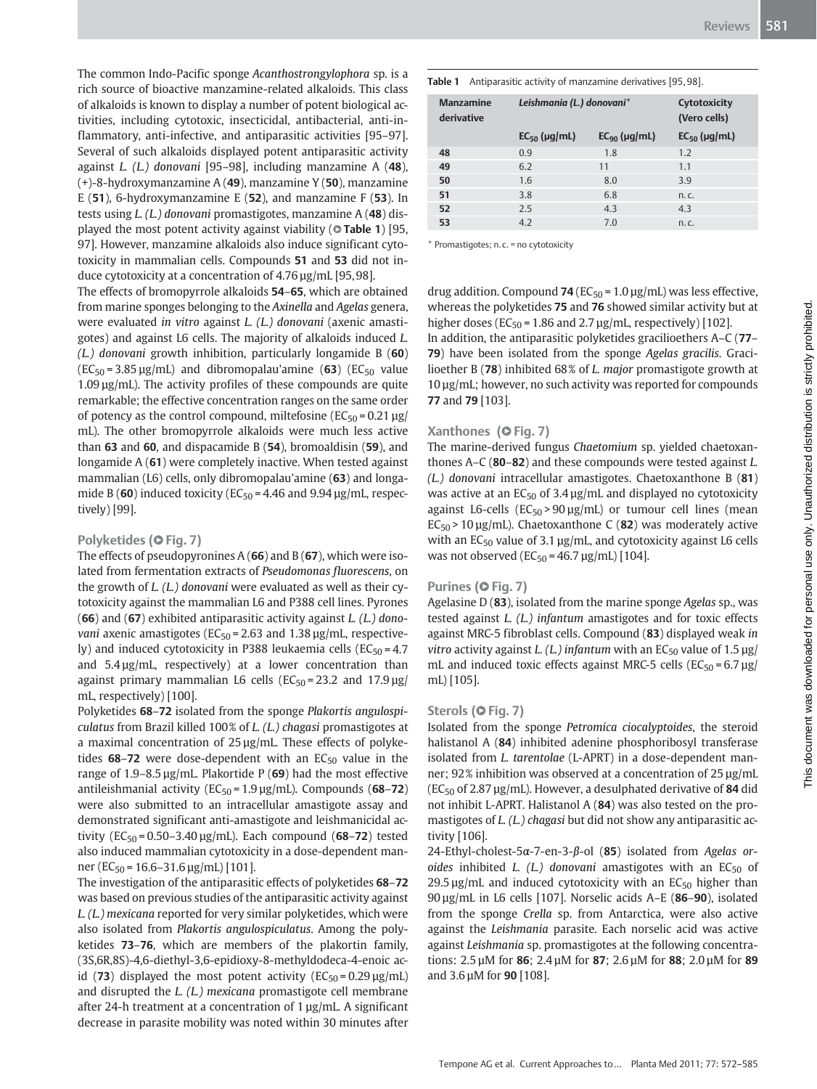The common Indo-Pacific sponge Acanthostrongylophora sp. is a rich source of bioactive manzamine-related alkaloids. This class of alkaloids is known to display a number of potent biological activities, including cytotoxic, insecticidal, antibacterial, anti-inflammatory, anti-infective, and antiparasitic activities [95–97]. Several of such alkaloids displayed potent antiparasitic activity against *L.* (*L.*) donovani [95-98], including manzamine A  $(48)$ , (+)-8-hydroxymanzamine A (49), manzamine Y (50), manzamine E (51), 6-hydroxymanzamine E (52), and manzamine F (53). In tests using L. (L.) donovani promastigotes, manzamine A (48) displayed the most potent activity against viability (**OTable 1**) [95, 97]. However, manzamine alkaloids also induce significant cytotoxicity in mammalian cells. Compounds 51 and 53 did not induce cytotoxicity at a concentration of 4.76 µg/mL [95, 98].

The effects of bromopyrrole alkaloids 54–65, which are obtained from marine sponges belonging to the Axinella and Agelas genera, were evaluated in vitro against L. (L.) donovani (axenic amastigotes) and against L6 cells. The majority of alkaloids induced L.  $(L)$  donovani growth inhibition, particularly longamide B (60)  $(EC_{50} = 3.85 \,\mu g/mL)$  and dibromopalau'amine (63) ( $EC_{50}$  value  $1.09 \,\mu$ g/mL). The activity profiles of these compounds are quite remarkable; the effective concentration ranges on the same order of potency as the control compound, miltefosine ( $EC_{50}$  = 0.21  $\mu$ g/ mL). The other bromopyrrole alkaloids were much less active than 63 and 60, and dispacamide B (54), bromoaldisin (59), and longamide A (61) were completely inactive. When tested against mammalian (L6) cells, only dibromopalau'amine (63) and longamide B (60) induced toxicity ( $EC_{50} = 4.46$  and 9.94  $\mu$ g/mL, respectively) [99].

### Polyketides (O Fig. 7)

The effects of pseudopyronines  $A(66)$  and  $B(67)$ , which were isolated from fermentation extracts of Pseudomonas fluorescens, on the growth of L. (L.) donovani were evaluated as well as their cytotoxicity against the mammalian L6 and P388 cell lines. Pyrones (66) and (67) exhibited antiparasitic activity against L. (L.) dono*vani* axenic amastigotes ( $EC_{50}$  = 2.63 and 1.38  $\mu$ g/mL, respectively) and induced cytotoxicity in P388 leukaemia cells ( $EC_{50} = 4.7$ and 5.4 µg/mL, respectively) at a lower concentration than against primary mammalian L6 cells ( $EC_{50} = 23.2$  and  $17.9 \,\mu$ g/ mL, respectively) [100].

Polyketides 68-72 isolated from the sponge Plakortis angulospiculatus from Brazil killed 100% of L. (L.) chagasi promastigotes at a maximal concentration of 25 µg/mL. These effects of polyketides  $68-72$  were dose-dependent with an  $EC_{50}$  value in the range of  $1.9-8.5 \mu$ g/mL. Plakortide P (69) had the most effective antileishmanial activity ( $EC_{50}$  = 1.9  $\mu$ g/mL). Compounds (68–72) were also submitted to an intracellular amastigote assay and demonstrated significant anti-amastigote and leishmanicidal activity ( $EC_{50} = 0.50 - 3.40 \,\text{µg/mL}$ ). Each compound (68-72) tested also induced mammalian cytotoxicity in a dose-dependent manner (EC<sub>50</sub> = 16.6–31.6 µg/mL) [101].

The investigation of the antiparasitic effects of polyketides 68–72 was based on previous studies of the antiparasitic activity against L. (L.) mexicana reported for very similar polyketides, which were also isolated from Plakortis angulospiculatus. Among the polyketides 73–76, which are members of the plakortin family, (3S,6R,8S)-4,6-diethyl-3,6-epidioxy-8-methyldodeca-4-enoic acid (73) displayed the most potent activity ( $EC_{50} = 0.29 \mu g/mL$ ) and disrupted the L. (L.) mexicana promastigote cell membrane after 24-h treatment at a concentration of 1 µg/mL. A significant decrease in parasite mobility was noted within 30 minutes after Table 1 Antiparasitic activity of manzamine derivatives [95, 98].

| <b>Manzamine</b><br>derivative | Leishmania (L.) donovani* |                   | Cytotoxicity<br>(Vero cells) |
|--------------------------------|---------------------------|-------------------|------------------------------|
|                                | $EC_{50}$ (µg/mL)         | $EC_{90}$ (µg/mL) | $EC_{50}$ (µg/mL)            |
| 48                             | 0.9                       | 1.8               | 1.2                          |
| 49                             | 6.2                       | 11                | 1.1                          |
| 50                             | 1.6                       | 8.0               | 3.9                          |
| 51                             | 3.8                       | 6.8               | n.c.                         |
| 52                             | 2.5                       | 4.3               | 4.3                          |
| 53                             | 4.2                       | 7.0               | n.c.                         |

\* Promastigotes; n. c. = no cytotoxicity

drug addition. Compound 74 ( $EC_{50}$  = 1.0 µg/mL) was less effective, whereas the polyketides 75 and 76 showed similar activity but at higher doses ( $EC_{50}$  = 1.86 and 2.7  $\mu$ g/mL, respectively) [102].

In addition, the antiparasitic polyketides gracilioethers A–C (77– 79) have been isolated from the sponge Agelas gracilis. Gracilioether B (78) inhibited 68% of L. major promastigote growth at 10 µg/mL; however, no such activity was reported for compounds 77 and 79 [103].

# Xanthones (O Fig. 7)

The marine-derived fungus Chaetomium sp. yielded chaetoxanthones A–C (80–82) and these compounds were tested against L. (L.) donovani intracellular amastigotes. Chaetoxanthone B (81) was active at an  $EC_{50}$  of 3.4  $\mu$ g/mL and displayed no cytotoxicity against L6-cells ( $EC_{50}$  > 90 µg/mL) or tumour cell lines (mean  $EC_{50}$  > 10 µg/mL). Chaetoxanthone C (82) was moderately active with an  $EC_{50}$  value of 3.1  $\mu$ g/mL, and cytotoxicity against L6 cells was not observed ( $EC_{50} = 46.7 \,\text{\upmu}\text{g/mL}$ ) [104].

## Purines (O Fig. 7)

Agelasine D (83), isolated from the marine sponge Agelas sp., was tested against L. (L.) infantum amastigotes and for toxic effects against MRC-5 fibroblast cells. Compound (83) displayed weak in *vitro* activity against *L.* (*L.*) infantum with an  $EC_{50}$  value of 1.5 µg/ mL and induced toxic effects against MRC-5 cells ( $EC_{50} = 6.7 \text{ µg}$ ) mL) [105].

## Sterols (O Fig. 7)

Isolated from the sponge Petromica ciocalyptoides, the steroid halistanol A (84) inhibited adenine phosphoribosyl transferase isolated from L. tarentolae (L-APRT) in a dose-dependent manner; 92% inhibition was observed at a concentration of 25 µg/mL  $(EC_{50}$  of 2.87  $\mu$ g/mL). However, a desulphated derivative of 84 did not inhibit L-APRT. Halistanol A (84) was also tested on the promastigotes of L. (L.) chagasi but did not show any antiparasitic activity [106].

24-Ethyl-cholest-5α-7-en-3-β-ol (85) isolated from Agelas oroides inhibited L. (L.) donovani amastigotes with an  $EC_{50}$  of 29.5  $\mu$ g/mL and induced cytotoxicity with an EC<sub>50</sub> higher than 90 µg/mL in L6 cells [107]. Norselic acids A–E (86–90), isolated from the sponge Crella sp. from Antarctica, were also active against the Leishmania parasite. Each norselic acid was active against Leishmania sp. promastigotes at the following concentrations: 2.5 µM for 86; 2.4 µM for 87; 2.6 µM for 88; 2.0 µM for 89 and 3.6 µM for 90 [108].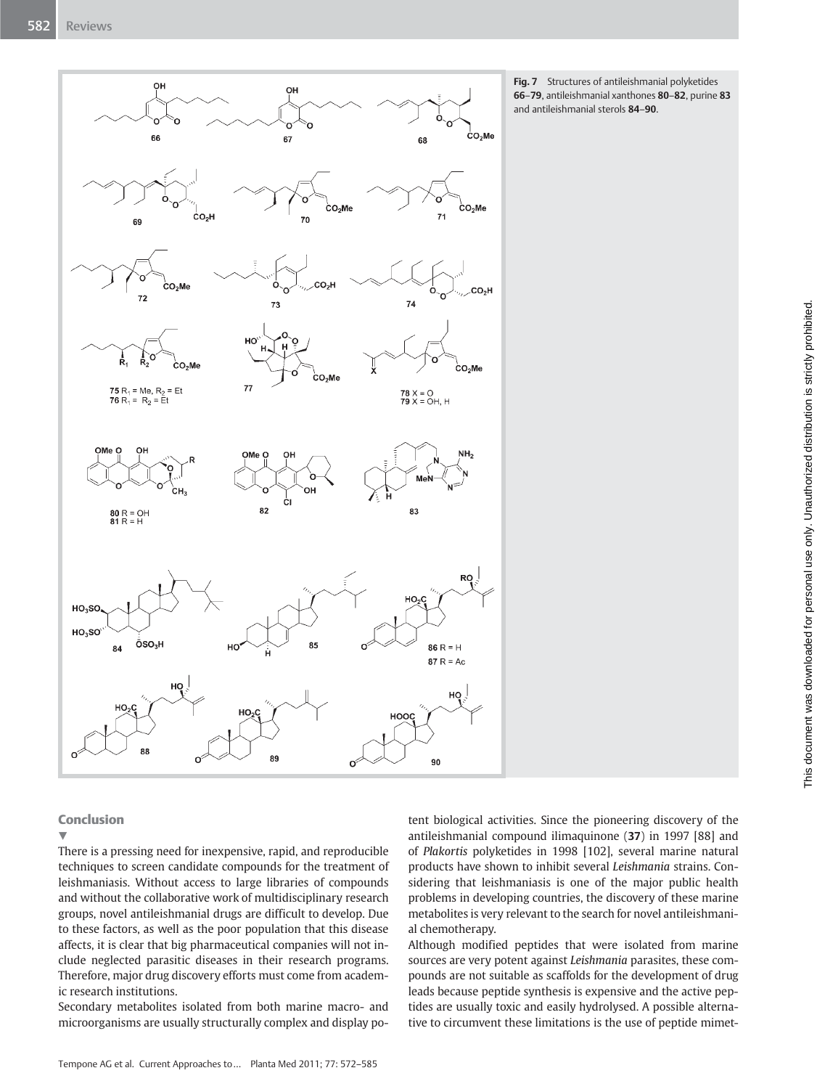

Fig. 7 Structures of antileishmanial polyketides 66–79, antileishmanial xanthones 80–82, purine 83 and antileishmanial sterols 84–90.

# **Conclusion**

## $\blacktriangledown$

There is a pressing need for inexpensive, rapid, and reproducible techniques to screen candidate compounds for the treatment of leishmaniasis. Without access to large libraries of compounds and without the collaborative work of multidisciplinary research groups, novel antileishmanial drugs are difficult to develop. Due to these factors, as well as the poor population that this disease affects, it is clear that big pharmaceutical companies will not include neglected parasitic diseases in their research programs. Therefore, major drug discovery efforts must come from academic research institutions.

Secondary metabolites isolated from both marine macro- and microorganisms are usually structurally complex and display potent biological activities. Since the pioneering discovery of the antileishmanial compound ilimaquinone (37) in 1997 [88] and of Plakortis polyketides in 1998 [102], several marine natural products have shown to inhibit several Leishmania strains. Considering that leishmaniasis is one of the major public health problems in developing countries, the discovery of these marine metabolites is very relevant to the search for novel antileishmanial chemotherapy.

Although modified peptides that were isolated from marine sources are very potent against Leishmania parasites, these compounds are not suitable as scaffolds for the development of drug leads because peptide synthesis is expensive and the active peptides are usually toxic and easily hydrolysed. A possible alternative to circumvent these limitations is the use of peptide mimet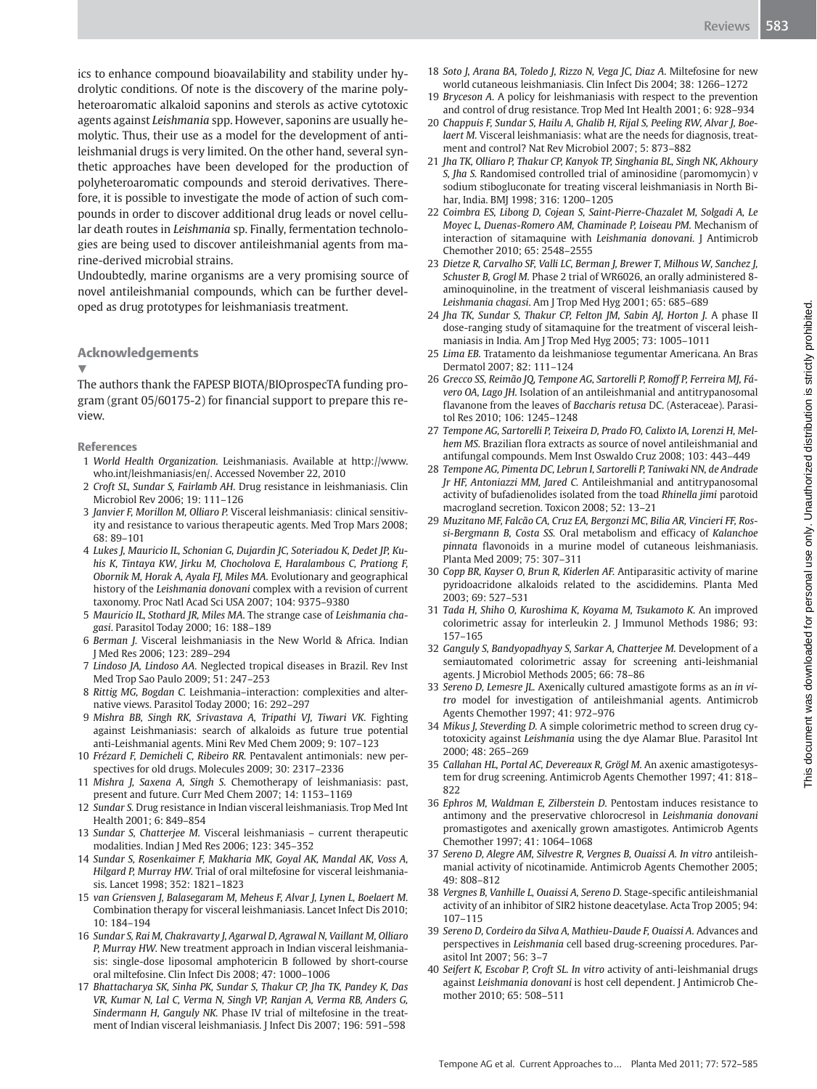ics to enhance compound bioavailability and stability under hydrolytic conditions. Of note is the discovery of the marine polyheteroaromatic alkaloid saponins and sterols as active cytotoxic agents against Leishmania spp. However, saponins are usually hemolytic. Thus, their use as a model for the development of antileishmanial drugs is very limited. On the other hand, several synthetic approaches have been developed for the production of polyheteroaromatic compounds and steroid derivatives. Therefore, it is possible to investigate the mode of action of such compounds in order to discover additional drug leads or novel cellular death routes in Leishmania sp. Finally, fermentation technologies are being used to discover antileishmanial agents from marine-derived microbial strains.

Undoubtedly, marine organisms are a very promising source of novel antileishmanial compounds, which can be further developed as drug prototypes for leishmaniasis treatment.

#### Acknowledgements

#### v,

The authors thank the FAPESP BIOTA/BIOprospecTA funding program (grant 05/60175-2) for financial support to prepare this review.

#### References

- 1 World Health Organization. Leishmaniasis. Available at http://www. who.int/leishmaniasis/en/. Accessed November 22, 2010
- 2 Croft SL, Sundar S, Fairlamb AH. Drug resistance in leishmaniasis. Clin Microbiol Rev 2006; 19: 111–126
- 3 Janvier F, Morillon M, Olliaro P. Visceral leishmaniasis: clinical sensitivity and resistance to various therapeutic agents. Med Trop Mars 2008; 68: 89–101
- 4 Lukes J, Mauricio IL, Schonian G, Dujardin JC, Soteriadou K, Dedet JP, Kuhis K, Tintaya KW, Jirku M, Chocholova E, Haralambous C, Prationg F, Obornik M, Horak A, Ayala FJ, Miles MA. Evolutionary and geographical history of the Leishmania donovani complex with a revision of current taxonomy. Proc Natl Acad Sci USA 2007; 104: 9375–9380
- 5 Mauricio IL, Stothard JR, Miles MA. The strange case of Leishmania chagasi. Parasitol Today 2000; 16: 188–189
- 6 Berman J. Visceral leishmaniasis in the New World & Africa. Indian J Med Res 2006; 123: 289–294
- 7 Lindoso JA, Lindoso AA. Neglected tropical diseases in Brazil. Rev Inst Med Trop Sao Paulo 2009; 51: 247–253
- 8 Rittig MG, Bogdan C. Leishmania–interaction: complexities and alternative views. Parasitol Today 2000; 16: 292–297
- 9 Mishra BB, Singh RK, Srivastava A, Tripathi VJ, Tiwari VK. Fighting against Leishmaniasis: search of alkaloids as future true potential anti-Leishmanial agents. Mini Rev Med Chem 2009; 9: 107–123
- 10 Frézard F, Demicheli C, Ribeiro RR. Pentavalent antimonials: new perspectives for old drugs. Molecules 2009; 30: 2317–2336
- 11 Mishra J, Saxena A, Singh S. Chemotherapy of leishmaniasis: past, present and future. Curr Med Chem 2007; 14: 1153–1169
- 12 Sundar S. Drug resistance in Indian visceral leishmaniasis. Trop Med Int Health 2001; 6: 849–854
- 13 Sundar S, Chatterjee M. Visceral leishmaniasis current therapeutic modalities. Indian J Med Res 2006; 123: 345–352
- 14 Sundar S, Rosenkaimer F, Makharia MK, Goyal AK, Mandal AK, Voss A, Hilgard P, Murray HW. Trial of oral miltefosine for visceral leishmaniasis. Lancet 1998; 352: 1821–1823
- 15 van Griensven J, Balasegaram M, Meheus F, Alvar J, Lynen L, Boelaert M. Combination therapy for visceral leishmaniasis. Lancet Infect Dis 2010; 10: 184–194
- 16 Sundar S, Rai M, Chakravarty J, Agarwal D, Agrawal N, Vaillant M, Olliaro P, Murray HW. New treatment approach in Indian visceral leishmaniasis: single-dose liposomal amphotericin B followed by short-course oral miltefosine. Clin Infect Dis 2008; 47: 1000–1006
- 17 Bhattacharya SK, Sinha PK, Sundar S, Thakur CP, Jha TK, Pandey K, Das VR, Kumar N, Lal C, Verma N, Singh VP, Ranjan A, Verma RB, Anders G, Sindermann H, Ganguly NK. Phase IV trial of miltefosine in the treatment of Indian visceral leishmaniasis. J Infect Dis 2007; 196: 591–598
- 18 Soto J, Arana BA, Toledo J, Rizzo N, Vega JC, Diaz A. Miltefosine for new world cutaneous leishmaniasis. Clin Infect Dis 2004; 38: 1266–1272
- 19 Bryceson A. A policy for leishmaniasis with respect to the prevention and control of drug resistance. Trop Med Int Health 2001; 6: 928–934
- 20 Chappuis F, Sundar S, Hailu A, Ghalib H, Rijal S, Peeling RW, Alvar J, Boelaert M. Visceral leishmaniasis: what are the needs for diagnosis, treatment and control? Nat Rev Microbiol 2007; 5: 873–882
- 21 Jha TK, Olliaro P, Thakur CP, Kanyok TP, Singhania BL, Singh NK, Akhoury S, Jha S. Randomised controlled trial of aminosidine (paromomycin) v sodium stibogluconate for treating visceral leishmaniasis in North Bihar, India. BMJ 1998; 316: 1200–1205
- 22 Coimbra ES, Libong D, Cojean S, Saint-Pierre-Chazalet M, Solgadi A, Le Moyec L, Duenas-Romero AM, Chaminade P, Loiseau PM. Mechanism of interaction of sitamaquine with Leishmania donovani. J Antimicrob Chemother 2010; 65: 2548–2555
- 23 Dietze R, Carvalho SF, Valli LC, Berman J, Brewer T, Milhous W, Sanchez J, Schuster B, Grogl M. Phase 2 trial of WR6026, an orally administered 8 aminoquinoline, in the treatment of visceral leishmaniasis caused by Leishmania chagasi. Am J Trop Med Hyg 2001; 65: 685–689
- 24 Jha TK, Sundar S, Thakur CP, Felton JM, Sabin AJ, Horton J. A phase II dose-ranging study of sitamaquine for the treatment of visceral leishmaniasis in India. Am J Trop Med Hyg 2005; 73: 1005–1011
- 25 Lima EB. Tratamento da leishmaniose tegumentar Americana. An Bras Dermatol 2007; 82: 111–124
- 26 Grecco SS, Reimão JQ, Tempone AG, Sartorelli P, Romoff P, Ferreira MJ, Fávero OA, Lago JH. Isolation of an antileishmanial and antitrypanosomal flavanone from the leaves of Baccharis retusa DC. (Asteraceae). Parasitol Res 2010; 106: 1245–1248
- 27 Tempone AG, Sartorelli P, Teixeira D, Prado FO, Calixto IA, Lorenzi H, Melhem MS. Brazilian flora extracts as source of novel antileishmanial and antifungal compounds. Mem Inst Oswaldo Cruz 2008; 103: 443–449
- 28 Tempone AG, Pimenta DC, Lebrun I, Sartorelli P, Taniwaki NN, de Andrade Jr HF, Antoniazzi MM, Jared C. Antileishmanial and antitrypanosomal activity of bufadienolides isolated from the toad Rhinella jimi parotoid macrogland secretion. Toxicon 2008; 52: 13–21
- 29 Muzitano MF, Falcão CA, Cruz EA, Bergonzi MC, Bilia AR, Vincieri FF, Rossi-Bergmann B, Costa SS. Oral metabolism and efficacy of Kalanchoe pinnata flavonoids in a murine model of cutaneous leishmaniasis. Planta Med 2009; 75: 307–311
- 30 Copp BR, Kayser O, Brun R, Kiderlen AF. Antiparasitic activity of marine pyridoacridone alkaloids related to the ascididemins. Planta Med 2003; 69: 527–531
- 31 Tada H, Shiho O, Kuroshima K, Koyama M, Tsukamoto K. An improved colorimetric assay for interleukin 2. J Immunol Methods 1986; 93: 157–165
- 32 Ganguly S, Bandyopadhyay S, Sarkar A, Chatterjee M. Development of a semiautomated colorimetric assay for screening anti-leishmanial agents. J Microbiol Methods 2005; 66: 78–86
- 33 Sereno D, Lemesre JL. Axenically cultured amastigote forms as an in vitro model for investigation of antileishmanial agents. Antimicrob Agents Chemother 1997; 41: 972–976
- 34 Mikus J, Steverding D. A simple colorimetric method to screen drug cytotoxicity against Leishmania using the dye Alamar Blue. Parasitol Int 2000; 48: 265–269
- 35 Callahan HL, Portal AC, Devereaux R, Grögl M. An axenic amastigotesystem for drug screening. Antimicrob Agents Chemother 1997; 41: 818– 822
- 36 Ephros M, Waldman E, Zilberstein D. Pentostam induces resistance to antimony and the preservative chlorocresol in Leishmania donovani promastigotes and axenically grown amastigotes. Antimicrob Agents Chemother 1997; 41: 1064–1068
- 37 Sereno D, Alegre AM, Silvestre R, Vergnes B, Ouaissi A. In vitro antileishmanial activity of nicotinamide. Antimicrob Agents Chemother 2005; 49: 808–812
- 38 Vergnes B, Vanhille L, Ouaissi A, Sereno D. Stage-specific antileishmanial activity of an inhibitor of SIR2 histone deacetylase. Acta Trop 2005; 94: 107–115
- 39 Sereno D, Cordeiro da Silva A, Mathieu-Daude F, Ouaissi A. Advances and perspectives in Leishmania cell based drug-screening procedures. Parasitol Int 2007; 56: 3–7
- 40 Seifert K, Escobar P, Croft SL. In vitro activity of anti-leishmanial drugs against Leishmania donovani is host cell dependent. J Antimicrob Chemother 2010; 65: 508–511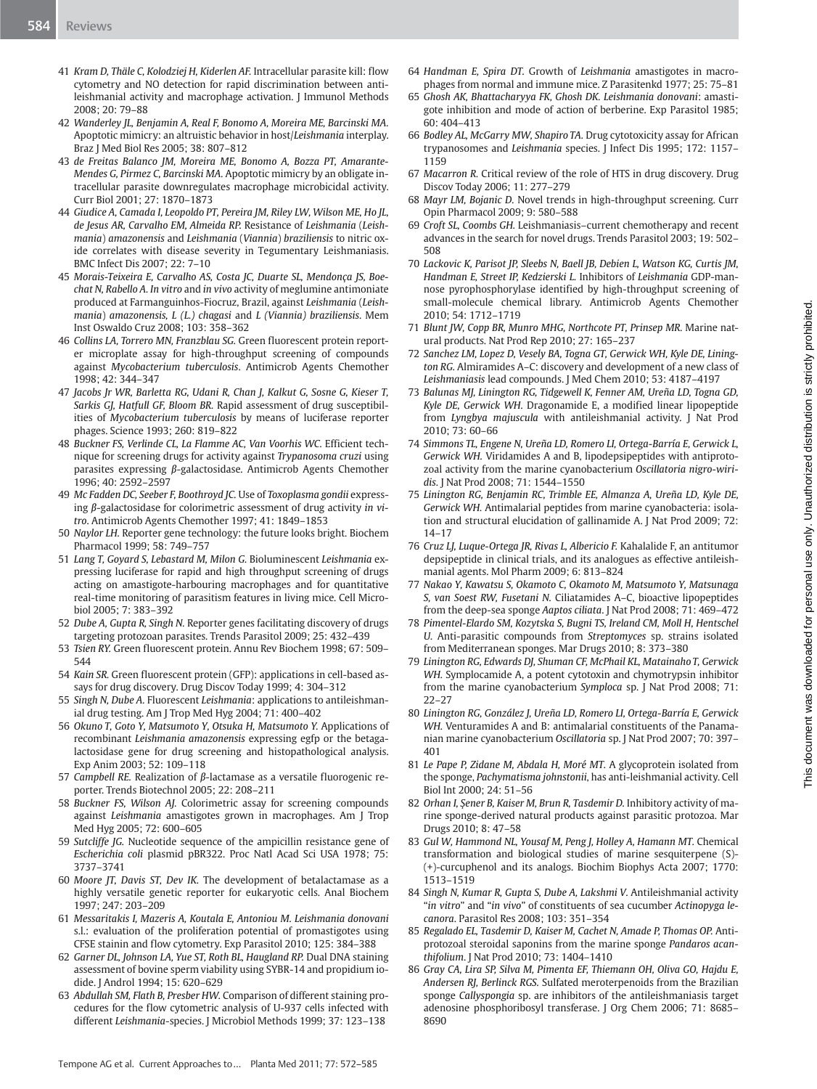- 41 Kram D, Thäle C, Kolodziej H, Kiderlen AF. Intracellular parasite kill: flow cytometry and NO detection for rapid discrimination between antileishmanial activity and macrophage activation. J Immunol Methods 2008; 20: 79–88
- 42 Wanderley JL, Benjamin A, Real F, Bonomo A, Moreira ME, Barcinski MA. Apoptotic mimicry: an altruistic behavior in host/Leishmania interplay. Braz J Med Biol Res 2005; 38: 807–812
- 43 de Freitas Balanco JM, Moreira ME, Bonomo A, Bozza PT, Amarante-Mendes G, Pirmez C, Barcinski MA. Apoptotic mimicry by an obligate intracellular parasite downregulates macrophage microbicidal activity. Curr Biol 2001; 27: 1870–1873
- 44 Giudice A, Camada I, Leopoldo PT, Pereira JM, Riley LW, Wilson ME, Ho JL, de Jesus AR, Carvalho EM, Almeida RP. Resistance of Leishmania (Leishmania) amazonensis and Leishmania (Viannia) braziliensis to nitric oxide correlates with disease severity in Tegumentary Leishmaniasis. BMC Infect Dis 2007; 22: 7–10
- 45 Morais-Teixeira E, Carvalho AS, Costa JC, Duarte SL, Mendonça JS, Boechat N, Rabello A. In vitro and in vivo activity of meglumine antimoniate produced at Farmanguinhos-Fiocruz, Brazil, against Leishmania (Leishmania) amazonensis, L (L.) chagasi and L (Viannia) braziliensis. Mem Inst Oswaldo Cruz 2008; 103: 358–362
- 46 Collins LA, Torrero MN, Franzblau SG. Green fluorescent protein reporter microplate assay for high-throughput screening of compounds against Mycobacterium tuberculosis. Antimicrob Agents Chemother 1998; 42: 344–347
- 47 Jacobs Jr WR, Barletta RG, Udani R, Chan J, Kalkut G, Sosne G, Kieser T, Sarkis GJ, Hatfull GF, Bloom BR. Rapid assessment of drug susceptibilities of Mycobacterium tuberculosis by means of luciferase reporter phages. Science 1993; 260: 819–822
- 48 Buckner FS, Verlinde CL, La Flamme AC, Van Voorhis WC. Efficient technique for screening drugs for activity against Trypanosoma cruzi using parasites expressing β-galactosidase. Antimicrob Agents Chemother 1996; 40: 2592–2597
- 49 Mc Fadden DC, Seeber F, Boothroyd JC. Use of Toxoplasma gondii expressing β-galactosidase for colorimetric assessment of drug activity in vitro. Antimicrob Agents Chemother 1997; 41: 1849–1853
- 50 Naylor LH. Reporter gene technology: the future looks bright. Biochem Pharmacol 1999; 58: 749–757
- 51 Lang T, Goyard S, Lebastard M, Milon G. Bioluminescent Leishmania expressing luciferase for rapid and high throughput screening of drugs acting on amastigote-harbouring macrophages and for quantitative real-time monitoring of parasitism features in living mice. Cell Microbiol 2005; 7: 383–392
- 52 Dube A, Gupta R, Singh N. Reporter genes facilitating discovery of drugs targeting protozoan parasites. Trends Parasitol 2009; 25: 432–439
- 53 Tsien RY. Green fluorescent protein. Annu Rev Biochem 1998; 67: 509– 544
- 54 Kain SR. Green fluorescent protein (GFP): applications in cell-based assays for drug discovery. Drug Discov Today 1999; 4: 304–312
- 55 Singh N, Dube A. Fluorescent Leishmania: applications to antileishmanial drug testing. Am J Trop Med Hyg 2004; 71: 400–402
- 56 Okuno T, Goto Y, Matsumoto Y, Otsuka H, Matsumoto Y. Applications of recombinant Leishmania amazonensis expressing egfp or the betagalactosidase gene for drug screening and histopathological analysis. Exp Anim 2003; 52: 109–118
- 57 Campbell RE. Realization of β-lactamase as a versatile fluorogenic reporter. Trends Biotechnol 2005; 22: 208–211
- 58 Buckner FS, Wilson AJ. Colorimetric assay for screening compounds against Leishmania amastigotes grown in macrophages. Am J Trop Med Hyg 2005; 72: 600–605
- 59 Sutcliffe JG. Nucleotide sequence of the ampicillin resistance gene of Escherichia coli plasmid pBR322. Proc Natl Acad Sci USA 1978; 75: 3737–3741
- 60 Moore JT, Davis ST, Dev IK. The development of betalactamase as a highly versatile genetic reporter for eukaryotic cells. Anal Biochem 1997; 247: 203–209
- 61 Messaritakis I, Mazeris A, Koutala E, Antoniou M. Leishmania donovani s.l.: evaluation of the proliferation potential of promastigotes using CFSE stainin and flow cytometry. Exp Parasitol 2010; 125: 384–388
- 62 Garner DL, Johnson LA, Yue ST, Roth BL, Haugland RP. Dual DNA staining assessment of bovine sperm viability using SYBR‑14 and propidium iodide. J Androl 1994; 15: 620–629
- 63 Abdullah SM, Flath B, Presber HW. Comparison of different staining procedures for the flow cytometric analysis of U‑937 cells infected with different Leishmania-species. J Microbiol Methods 1999; 37: 123–138
- 64 Handman E, Spira DT. Growth of Leishmania amastigotes in macrophages from normal and immune mice. Z Parasitenkd 1977; 25: 75–81
- 65 Ghosh AK, Bhattacharyya FK, Ghosh DK. Leishmania donovani: amastigote inhibition and mode of action of berberine. Exp Parasitol 1985; 60: 404–413
- 66 Bodley AL, McGarry MW, Shapiro TA. Drug cytotoxicity assay for African trypanosomes and Leishmania species. J Infect Dis 1995; 172: 1157– 1159
- 67 Macarron R. Critical review of the role of HTS in drug discovery. Drug Discov Today 2006; 11: 277–279
- 68 Mayr LM, Bojanic D. Novel trends in high-throughput screening. Curr Opin Pharmacol 2009; 9: 580–588
- 69 Croft SL, Coombs GH. Leishmaniasis–current chemotherapy and recent advances in the search for novel drugs. Trends Parasitol 2003; 19: 502– 508
- 70 Lackovic K, Parisot JP, Sleebs N, Baell JB, Debien L, Watson KG, Curtis JM, Handman E, Street IP, Kedzierski L. Inhibitors of Leishmania GDP-mannose pyrophosphorylase identified by high-throughput screening of small-molecule chemical library. Antimicrob Agents Chemother 2010; 54: 1712–1719
- 71 Blunt JW, Copp BR, Munro MHG, Northcote PT, Prinsep MR. Marine natural products. Nat Prod Rep 2010; 27: 165–237
- 72 Sanchez LM, Lopez D, Vesely BA, Togna GT, Gerwick WH, Kyle DE, Linington RG. Almiramides A–C: discovery and development of a new class of Leishmaniasis lead compounds. J Med Chem 2010; 53: 4187–4197
- 73 Balunas MJ, Linington RG, Tidgewell K, Fenner AM, Ureña LD, Togna GD, Kyle DE, Gerwick WH. Dragonamide E, a modified linear lipopeptide from Lyngbya majuscula with antileishmanial activity. J Nat Prod 2010; 73: 60–66
- 74 Simmons TL, Engene N, Ureña LD, Romero LI, Ortega-Barría E, Gerwick L, Gerwick WH. Viridamides A and B, lipodepsipeptides with antiprotozoal activity from the marine cyanobacterium Oscillatoria nigro-wiridis. J Nat Prod 2008; 71: 1544–1550
- 75 Linington RG, Benjamin RC, Trimble EE, Almanza A, Ureña LD, Kyle DE, Gerwick WH. Antimalarial peptides from marine cyanobacteria: isolation and structural elucidation of gallinamide A. J Nat Prod 2009; 72: 14–17
- 76 Cruz LJ, Luque-Ortega JR, Rivas L, Albericio F. Kahalalide F, an antitumor depsipeptide in clinical trials, and its analogues as effective antileishmanial agents. Mol Pharm 2009; 6: 813–824
- 77 Nakao Y, Kawatsu S, Okamoto C, Okamoto M, Matsumoto Y, Matsunaga S, van Soest RW, Fusetani N. Ciliatamides A–C, bioactive lipopeptides from the deep-sea sponge Aaptos ciliata. J Nat Prod 2008; 71: 469–472
- 78 Pimentel-Elardo SM, Kozytska S, Bugni TS, Ireland CM, Moll H, Hentschel U. Anti-parasitic compounds from Streptomyces sp. strains isolated from Mediterranean sponges. Mar Drugs 2010; 8: 373–380
- 79 Linington RG, Edwards DJ, Shuman CF, McPhail KL, Matainaho T, Gerwick WH. Symplocamide A, a potent cytotoxin and chymotrypsin inhibitor from the marine cyanobacterium Symploca sp. J Nat Prod 2008; 71: 22–27
- 80 Linington RG, González J, Ureña LD, Romero LI, Ortega-Barría E, Gerwick WH. Venturamides A and B: antimalarial constituents of the Panamanian marine cyanobacterium Oscillatoria sp. J Nat Prod 2007; 70: 397– 401
- 81 Le Pape P, Zidane M, Abdala H, Moré MT. A glycoprotein isolated from the sponge, Pachymatisma johnstonii, has anti-leishmanial activity. Cell Biol Int 2000; 24: 51–56
- 82 Orhan I, Şener B, Kaiser M, Brun R, Tasdemir D. Inhibitory activity of marine sponge-derived natural products against parasitic protozoa. Mar Drugs 2010; 8: 47–58
- 83 Gul W, Hammond NL, Yousaf M, Peng J, Holley A, Hamann MT. Chemical transformation and biological studies of marine sesquiterpene (S)- (+)-curcuphenol and its analogs. Biochim Biophys Acta 2007; 1770: 1513–1519
- 84 Singh N, Kumar R, Gupta S, Dube A, Lakshmi V. Antileishmanial activity "in vitro" and "in vivo" of constituents of sea cucumber Actinopyga lecanora. Parasitol Res 2008; 103: 351–354
- 85 Regalado EL, Tasdemir D, Kaiser M, Cachet N, Amade P, Thomas OP. Antiprotozoal steroidal saponins from the marine sponge Pandaros acanthifolium. J Nat Prod 2010; 73: 1404–1410
- 86 Gray CA, Lira SP, Silva M, Pimenta EF, Thiemann OH, Oliva GO, Hajdu E, Andersen RJ, Berlinck RGS. Sulfated meroterpenoids from the Brazilian sponge Callyspongia sp. are inhibitors of the antileishmaniasis target adenosine phosphoribosyl transferase. J Org Chem 2006; 71: 8685– 8690